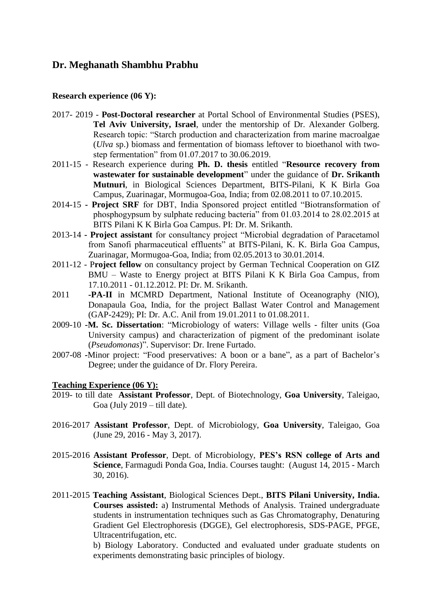# **Dr. Meghanath Shambhu Prabhu**

#### **Research experience (06 Y):**

- 2017- 2019 **Post-Doctoral researcher** at Portal School of Environmental Studies (PSES), **Tel Aviv University, Israel**, under the mentorship of Dr. Alexander Golberg. Research topic: "Starch production and characterization from marine macroalgae (*Ulva* sp.) biomass and fermentation of biomass leftover to bioethanol with twostep fermentation" from 01.07.2017 to 30.06.2019.
- 2011-15 Research experience during **Ph. D. thesis** entitled "**Resource recovery from wastewater for sustainable development**" under the guidance of **Dr. Srikanth Mutnuri**, in Biological Sciences Department, BITS-Pilani, K K Birla Goa Campus, Zuarinagar, Mormugoa-Goa, India; from 02.08.2011 to 07.10.2015.
- 2014-15 **- Project SRF** for DBT, India Sponsored project entitled "Biotransformation of phosphogypsum by sulphate reducing bacteria" from 01.03.2014 to 28.02.2015 at BITS Pilani K K Birla Goa Campus. PI: Dr. M. Srikanth.
- 2013-14 **- Project assistant** for consultancy project "Microbial degradation of Paracetamol from Sanofi pharmaceutical effluents" at BITS-Pilani, K. K. Birla Goa Campus, Zuarinagar, Mormugoa-Goa, India; from 02.05.2013 to 30.01.2014.
- 2011-12 P**roject fellow** on consultancy project by German Technical Cooperation on GIZ BMU – Waste to Energy project at BITS Pilani K K Birla Goa Campus, from 17.10.2011 - 01.12.2012. PI: Dr. M. Srikanth.
- 2011 **-PA-II** in MCMRD Department, National Institute of Oceanography (NIO), Donapaula Goa, India, for the project Ballast Water Control and Management (GAP-2429); PI: Dr. A.C. Anil from 19.01.2011 to 01.08.2011.
- 2009-10 **-M. Sc. Dissertation**: "Microbiology of waters: Village wells filter units (Goa University campus) and characterization of pigment of the predominant isolate (*Pseudomonas*)". Supervisor: Dr. Irene Furtado.
- 2007-08 **-**Minor project: "Food preservatives: A boon or a bane", as a part of Bachelor's Degree; under the guidance of Dr. Flory Pereira.

#### **Teaching Experience (06 Y):**

- 2019- to till date **Assistant Professor**, Dept. of Biotechnology, **Goa University**, Taleigao, Goa (July 2019 – till date).
- 2016-2017 **Assistant Professor**, Dept. of Microbiology, **Goa University**, Taleigao, Goa (June 29, 2016 - May 3, 2017).
- 2015-2016 **Assistant Professor**, Dept. of Microbiology, **PES's RSN college of Arts and Science**, Farmagudi Ponda Goa, India. Courses taught: (August 14, 2015 - March 30, 2016).
- 2011-2015 **Teaching Assistant**, Biological Sciences Dept., **BITS Pilani University, India. Courses assisted:** a) Instrumental Methods of Analysis. Trained undergraduate students in instrumentation techniques such as Gas Chromatography, Denaturing Gradient Gel Electrophoresis (DGGE), Gel electrophoresis, SDS-PAGE, PFGE, Ultracentrifugation, etc.

b) Biology Laboratory. Conducted and evaluated under graduate students on experiments demonstrating basic principles of biology.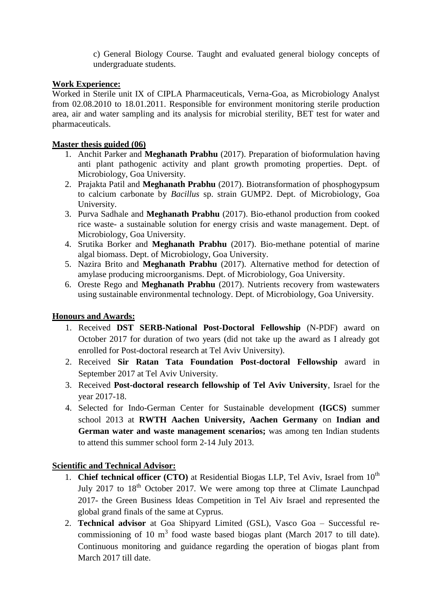c) General Biology Course. Taught and evaluated general biology concepts of undergraduate students.

## **Work Experience:**

Worked in Sterile unit IX of CIPLA Pharmaceuticals, Verna-Goa, as Microbiology Analyst from 02.08.2010 to 18.01.2011. Responsible for environment monitoring sterile production area, air and water sampling and its analysis for microbial sterility, BET test for water and pharmaceuticals.

#### **Master thesis guided (06)**

- 1. Anchit Parker and **Meghanath Prabhu** (2017). Preparation of bioformulation having anti plant pathogenic activity and plant growth promoting properties. Dept. of Microbiology, Goa University.
- 2. Prajakta Patil and **Meghanath Prabhu** (2017). Biotransformation of phosphogypsum to calcium carbonate by *Bacillus* sp. strain GUMP2. Dept. of Microbiology, Goa University.
- 3. Purva Sadhale and **Meghanath Prabhu** (2017). Bio-ethanol production from cooked rice waste- a sustainable solution for energy crisis and waste management. Dept. of Microbiology, Goa University.
- 4. Srutika Borker and **Meghanath Prabhu** (2017). Bio-methane potential of marine algal biomass. Dept. of Microbiology, Goa University.
- 5. Nazira Brito and **Meghanath Prabhu** (2017). Alternative method for detection of amylase producing microorganisms. Dept. of Microbiology, Goa University.
- 6. Oreste Rego and **Meghanath Prabhu** (2017). Nutrients recovery from wastewaters using sustainable environmental technology. Dept. of Microbiology, Goa University.

## **Honours and Awards:**

- 1. Received **DST SERB-National Post-Doctoral Fellowship** (N-PDF) award on October 2017 for duration of two years (did not take up the award as I already got enrolled for Post-doctoral research at Tel Aviv University).
- 2. Received **Sir Ratan Tata Foundation Post-doctoral Fellowship** award in September 2017 at Tel Aviv University.
- 3. Received **Post-doctoral research fellowship of Tel Aviv University**, Israel for the year 2017-18.
- 4. Selected for Indo-German Center for Sustainable development **(IGCS)** summer school 2013 at **RWTH Aachen University, Aachen Germany** on **Indian and German water and waste management scenarios;** was among ten Indian students to attend this summer school form 2-14 July 2013.

## **Scientific and Technical Advisor:**

- 1. **Chief technical officer (CTO)** at Residential Biogas LLP, Tel Aviv, Israel from 10<sup>th</sup> July 2017 to  $18<sup>th</sup>$  October 2017. We were among top three at Climate Launchpad 2017- the Green Business Ideas Competition in Tel Aiv Israel and represented the global grand finals of the same at Cyprus.
- 2. **Technical advisor** at Goa Shipyard Limited (GSL), Vasco Goa Successful recommissioning of 10  $m<sup>3</sup>$  food waste based biogas plant (March 2017 to till date). Continuous monitoring and guidance regarding the operation of biogas plant from March 2017 till date.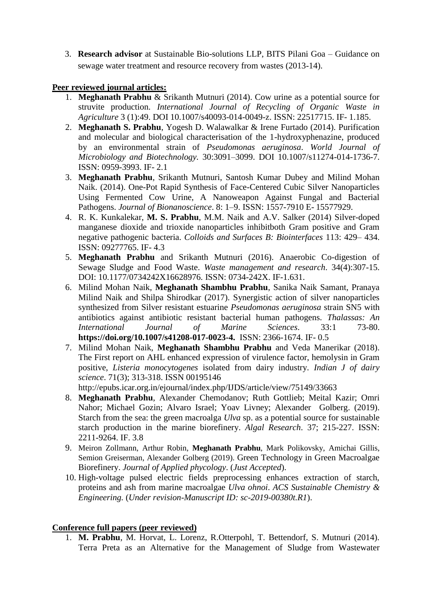3. **Research advisor** at Sustainable Bio-solutions LLP, BITS Pilani Goa – Guidance on sewage water treatment and resource recovery from wastes (2013-14).

## **Peer reviewed journal articles:**

- 1. **Meghanath Prabhu** & Srikanth Mutnuri (2014). Cow urine as a potential source for struvite production. *International Journal of Recycling of Organic Waste in Agriculture* 3 (1):49. DOI 10.1007/s40093-014-0049-z. ISSN: 22517715. IF- 1.185.
- 2. **Meghanath S. Prabhu**, Yogesh D. Walawalkar & Irene Furtado (2014). Purification and molecular and biological characterisation of the 1-hydroxyphenazine, produced by an environmental strain of *Pseudomonas aeruginosa*. *World Journal of Microbiology and Biotechnology.* 30:3091–3099. DOI 10.1007/s11274-014-1736-7. ISSN: 0959-3993. IF- 2.1
- 3. **Meghanath Prabhu**, Srikanth Mutnuri, Santosh Kumar Dubey and Milind Mohan Naik. (2014). One-Pot Rapid Synthesis of Face-Centered Cubic Silver Nanoparticles Using Fermented Cow Urine, A Nanoweapon Against Fungal and Bacterial Pathogens. *Journal of Bionanoscience*. 8: 1–9. ISSN: 1557-7910 E- 15577929.
- 4. R. K. Kunkalekar, **M. S. Prabhu**, M.M. Naik and A.V. Salker (2014) Silver-doped manganese dioxide and trioxide nanoparticles inhibitboth Gram positive and Gram negative pathogenic bacteria. *Colloids and Surfaces B: Biointerfaces* 113: 429– 434. ISSN: 09277765. IF- 4.3
- 5. **Meghanath Prabhu** and Srikanth Mutnuri (2016). Anaerobic Co-digestion of Sewage Sludge and Food Waste. *Waste management and research*. 34(4):307-15. DOI: 10.1177/0734242X16628976. ISSN: 0734-242X. IF-1.631.
- 6. Milind Mohan Naik, **Meghanath Shambhu Prabhu**, Sanika Naik Samant, Pranaya Milind Naik and Shilpa Shirodkar (2017). Synergistic action of silver nanoparticles synthesized from Silver resistant estuarine *Pseudomonas aeruginosa* strain SN5 with antibiotics against antibiotic resistant bacterial human pathogens. *Thalassas: An International Journal of Marine Sciences*. 33:1 73-80. **https://doi.org/10.1007/s41208-017-0023-4.** ISSN: 2366-1674. IF- 0.5
- 7. Milind Mohan Naik, **Meghanath Shambhu Prabhu** and Veda Manerikar (2018). The First report on AHL enhanced expression of virulence factor, hemolysin in Gram positive, *Listeria monocytogenes* isolated from dairy industry. *Indian J of dairy science*. 71(3); 313-318. ISSN 00195146

http://epubs.icar.org.in/ejournal/index.php/IJDS/article/view/75149/33663

- 8. **Meghanath Prabhu**, Alexander Chemodanov; Ruth Gottlieb; Meital Kazir; Omri Nahor; Michael Gozin; Alvaro Israel; Yoav Livney; Alexander Golberg. (2019). Starch from the sea: the green macroalga *Ulva* sp. as a potential source for sustainable starch production in the marine biorefinery. *Algal Research*. 37; 215-227. ISSN: 2211-9264. IF. 3.8
- 9. Meiron Zollmann, Arthur Robin, **Meghanath Prabhu**, Mark Polikovsky, Amichai Gillis, Semion Greiserman, Alexander Golberg (2019). Green Technology in Green Macroalgae Biorefinery. *Journal of Applied phycology*. (*Just Accepted*).
- 10. High-voltage pulsed electric fields preprocessing enhances extraction of starch, proteins and ash from marine macroalgae *Ulva ohnoi*. *ACS Sustainable Chemistry & Engineering.* (*Under revision-Manuscript ID: sc-2019-00380t.R1*).

## **Conference full papers (peer reviewed)**

1. **M. Prabhu**, M. Horvat, L. Lorenz, R.Otterpohl, T. Bettendorf, S. Mutnuri (2014). Terra Preta as an Alternative for the Management of Sludge from Wastewater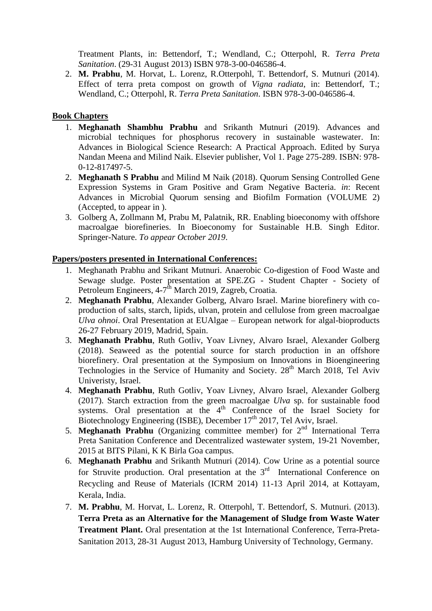Treatment Plants, in: Bettendorf, T.; Wendland, C.; Otterpohl, R. *Terra Preta Sanitation*. (29-31 August 2013) ISBN 978-3-00-046586-4.

2. **M. Prabhu**, M. Horvat, L. Lorenz, R.Otterpohl, T. Bettendorf, S. Mutnuri (2014). Effect of terra preta compost on growth of *Vigna radiata*, in: Bettendorf, T.; Wendland, C.; Otterpohl, R. *Terra Preta Sanitation*. ISBN 978-3-00-046586-4.

#### **Book Chapters**

- 1. **Meghanath Shambhu Prabhu** and Srikanth Mutnuri (2019). Advances and microbial techniques for phosphorus recovery in sustainable wastewater. In: Advances in Biological Science Research: A Practical Approach. Edited by Surya Nandan Meena and Milind Naik. Elsevier publisher, Vol 1. Page 275-289. ISBN: 978- 0-12-817497-5.
- 2. **Meghanath S Prabhu** and Milind M Naik (2018). Quorum Sensing Controlled Gene Expression Systems in Gram Positive and Gram Negative Bacteria. *in*: Recent Advances in Microbial Quorum sensing and Biofilm Formation (VOLUME 2) (Accepted, to appear in ).
- 3. Golberg A, Zollmann M, Prabu M, Palatnik, RR. Enabling bioeconomy with offshore macroalgae biorefineries. In Bioeconomy for Sustainable H.B. Singh Editor. Springer-Nature. *To appear October 2019*.

#### **Papers/posters presented in International Conferences:**

- 1. Meghanath Prabhu and Srikant Mutnuri. Anaerobic Co-digestion of Food Waste and Sewage sludge. Poster presentation at SPE.ZG - Student Chapter - Society of Petroleum Engineers, 4-7<sup>th</sup> March 2019, Zagreb, Croatia.
- 2. **Meghanath Prabhu**, Alexander Golberg, Alvaro Israel. Marine biorefinery with coproduction of salts, starch, lipids, ulvan, protein and cellulose from green macroalgae *Ulva ohnoi*. Oral Presentation at EUAlgae – European network for algal-bioproducts 26-27 February 2019, Madrid, Spain.
- 3. **Meghanath Prabhu**, Ruth Gotliv, Yoav Livney, Alvaro Israel, Alexander Golberg (2018). Seaweed as the potential source for starch production in an offshore biorefinery. Oral presentation at the Symposium on Innovations in Bioengineering Technologies in the Service of Humanity and Society. 28<sup>th</sup> March 2018, Tel Aviv Univeristy, Israel.
- 4. **Meghanath Prabhu**, Ruth Gotliv, Yoav Livney, Alvaro Israel, Alexander Golberg (2017). Starch extraction from the green macroalgae *Ulva* sp. for sustainable food systems. Oral presentation at the  $4<sup>th</sup>$  Conference of the Israel Society for Biotechnology Engineering (ISBE), December 17<sup>th</sup> 2017, Tel Aviv, Israel.
- 5. **Meghanath Prabhu** (Organizing committee member) for 2<sup>nd</sup> International Terra Preta Sanitation Conference and Decentralized wastewater system, 19-21 November, 2015 at BITS Pilani, K K Birla Goa campus.
- 6. **Meghanath Prabhu** and Srikanth Mutnuri (2014). Cow Urine as a potential source for Struvite production. Oral presentation at the  $3<sup>rd</sup>$  International Conference on Recycling and Reuse of Materials (ICRM 2014) 11-13 April 2014, at Kottayam, Kerala, India.
- 7. **M. Prabhu**, M. Horvat, L. Lorenz, R. Otterpohl, T. Bettendorf, S. Mutnuri. (2013). **Terra Preta as an Alternative for the Management of Sludge from Waste Water Treatment Plant.** Oral presentation at the 1st International Conference, Terra-Preta-Sanitation 2013, 28-31 August 2013, Hamburg University of Technology, Germany.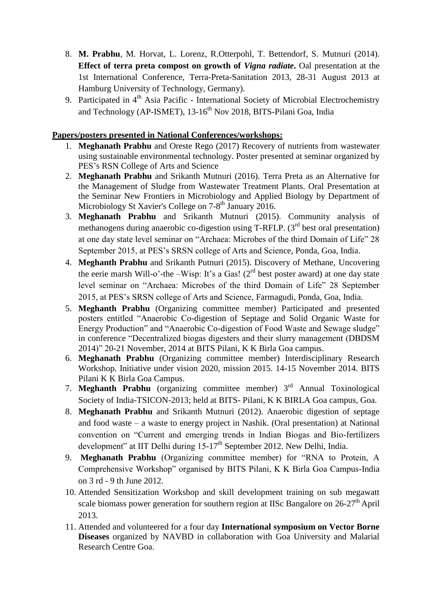- 8. **M. Prabhu**, M. Horvat, L. Lorenz, R.Otterpohl, T. Bettendorf, S. Mutnuri (2014). **Effect of terra preta compost on growth of** *Vigna radiate***.** Oal presentation at the 1st International Conference, Terra-Preta-Sanitation 2013, 28-31 August 2013 at Hamburg University of Technology, Germany).
- 9. Participated in  $4<sup>th</sup>$  Asia Pacific International Society of Microbial Electrochemistry and Technology (AP-ISMET), 13-16<sup>th</sup> Nov 2018, BITS-Pilani Goa, India

## **Papers/posters presented in National Conferences/workshops:**

- 1. **Meghanath Prabhu** and Oreste Rego (2017) Recovery of nutrients from wastewater using sustainable environmental technology. Poster presented at seminar organized by PES's RSN College of Arts and Science
- 2. **Meghanath Prabhu** and Srikanth Mutnuri (2016). Terra Preta as an Alternative for the Management of Sludge from Wastewater Treatment Plants. Oral Presentation at the Seminar New Frontiers in Microbiology and Applied Biology by Department of Microbiology St Xavier's College on 7-8<sup>th</sup> January 2016.
- 3. **Meghanath Prabhu** and Srikanth Mutnuri (2015). Community analysis of methanogens during anaerobic co-digestion using T-RFLP.  $(3<sup>rd</sup>$  best oral presentation) at one day state level seminar on "Archaea: Microbes of the third Domain of Life" 28 September 2015, at PES's SRSN college of Arts and Science, Ponda, Goa, India.
- 4. **Meghanth Prabhu** and Srikanth Putnuri (2015). Discovery of Methane, Uncovering the eerie marsh Will-o'-the –Wisp: It's a Gas! ( $2<sup>rd</sup>$  best poster award) at one day state level seminar on "Archaea: Microbes of the third Domain of Life" 28 September 2015, at PES's SRSN college of Arts and Science, Farmagudi, Ponda, Goa, India.
- 5. **Meghanth Prabhu** (Organizing committee member) Participated and presented posters entitled "Anaerobic Co-digestion of Septage and Solid Organic Waste for Energy Production" and "Anaerobic Co-digestion of Food Waste and Sewage sludge" in conference "Decentralized biogas digesters and their slurry management (DBDSM 2014)" 20-21 November, 2014 at BITS Pilani, K K Birla Goa campus.
- 6. **Meghanath Prabhu** (Organizing committee member) Interdisciplinary Research Workshop. Initiative under vision 2020, mission 2015. 14-15 November 2014. BITS Pilani K K Birla Goa Campus.
- 7. **Meghanth Prabhu** (organizing committee member) 3 rd Annual Toxinological Society of India-TSICON-2013; held at BITS- Pilani, K K BIRLA Goa campus, Goa.
- 8. **Meghanath Prabhu** and Srikanth Mutnuri (2012). Anaerobic digestion of septage and food waste – a waste to energy project in Nashik. (Oral presentation) at National convention on "Current and emerging trends in Indian Biogas and Bio-fertilizers development" at IIT Delhi during  $15{\text -}17^{\text{th}}$  September 2012. New Delhi, India.
- 9. **Meghanath Prabhu** (Organizing committee member) for "RNA to Protein, A Comprehensive Workshop" organised by BITS Pilani, K K Birla Goa Campus-India on 3 rd - 9 th June 2012.
- 10. Attended Sensitization Workshop and skill development training on sub megawatt scale biomass power generation for southern region at IISc Bangalore on  $26-27<sup>th</sup>$  April 2013.
- 11. Attended and volunteered for a four day **International symposium on Vector Borne Diseases** organized by NAVBD in collaboration with Goa University and Malarial Research Centre Goa.